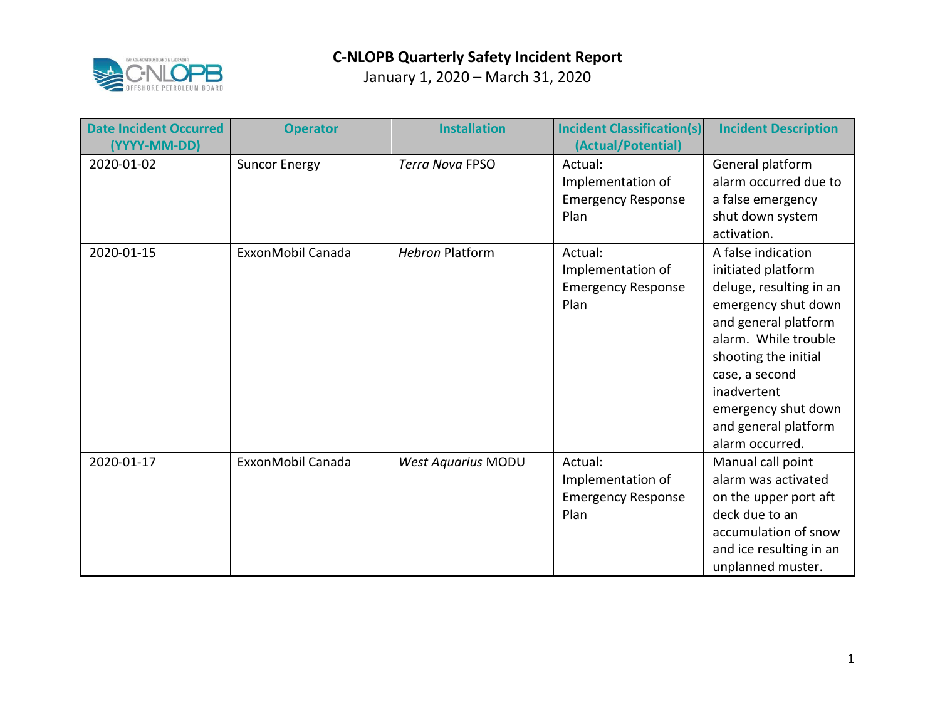

| <b>Date Incident Occurred</b><br>(YYYY-MM-DD) | <b>Operator</b>      | <b>Installation</b>       | <b>Incident Classification(s)</b><br>(Actual/Potential)           | <b>Incident Description</b>                                                                                                                                                                                                                                           |
|-----------------------------------------------|----------------------|---------------------------|-------------------------------------------------------------------|-----------------------------------------------------------------------------------------------------------------------------------------------------------------------------------------------------------------------------------------------------------------------|
| 2020-01-02                                    | <b>Suncor Energy</b> | <b>Terra Nova FPSO</b>    | Actual:<br>Implementation of<br><b>Emergency Response</b><br>Plan | General platform<br>alarm occurred due to<br>a false emergency<br>shut down system<br>activation.                                                                                                                                                                     |
| 2020-01-15                                    | ExxonMobil Canada    | <b>Hebron Platform</b>    | Actual:<br>Implementation of<br><b>Emergency Response</b><br>Plan | A false indication<br>initiated platform<br>deluge, resulting in an<br>emergency shut down<br>and general platform<br>alarm. While trouble<br>shooting the initial<br>case, a second<br>inadvertent<br>emergency shut down<br>and general platform<br>alarm occurred. |
| 2020-01-17                                    | ExxonMobil Canada    | <b>West Aquarius MODU</b> | Actual:<br>Implementation of<br><b>Emergency Response</b><br>Plan | Manual call point<br>alarm was activated<br>on the upper port aft<br>deck due to an<br>accumulation of snow<br>and ice resulting in an<br>unplanned muster.                                                                                                           |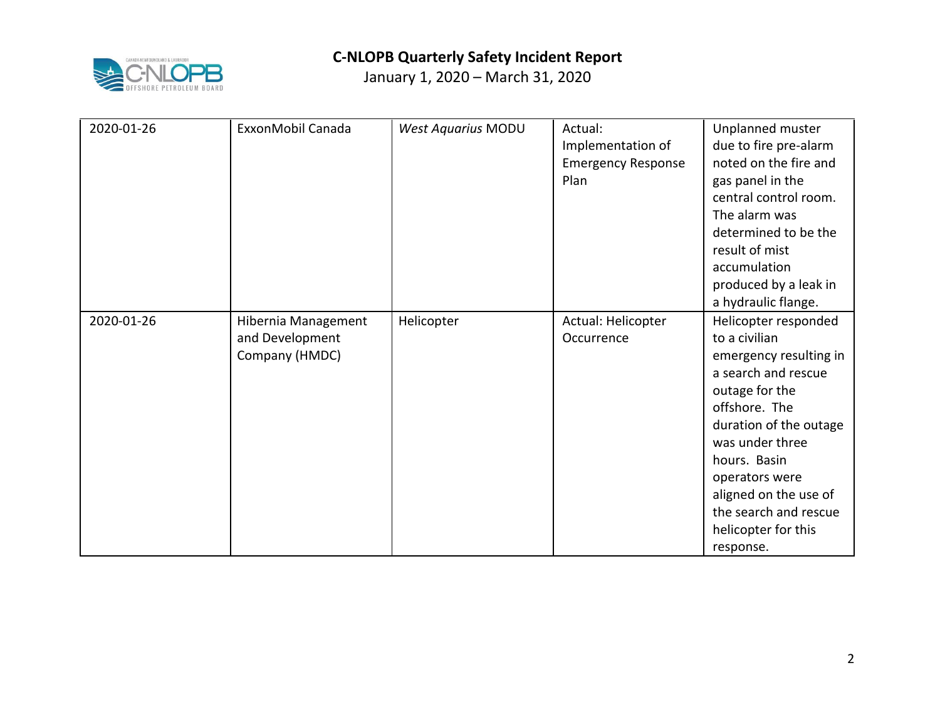

| 2020-01-26 | ExxonMobil Canada   | West Aquarius MODU | Actual:                   | Unplanned muster       |
|------------|---------------------|--------------------|---------------------------|------------------------|
|            |                     |                    | Implementation of         | due to fire pre-alarm  |
|            |                     |                    | <b>Emergency Response</b> | noted on the fire and  |
|            |                     |                    | Plan                      | gas panel in the       |
|            |                     |                    |                           | central control room.  |
|            |                     |                    |                           | The alarm was          |
|            |                     |                    |                           | determined to be the   |
|            |                     |                    |                           | result of mist         |
|            |                     |                    |                           | accumulation           |
|            |                     |                    |                           | produced by a leak in  |
|            |                     |                    |                           | a hydraulic flange.    |
| 2020-01-26 | Hibernia Management | Helicopter         | Actual: Helicopter        | Helicopter responded   |
|            | and Development     |                    | Occurrence                | to a civilian          |
|            | Company (HMDC)      |                    |                           | emergency resulting in |
|            |                     |                    |                           | a search and rescue    |
|            |                     |                    |                           | outage for the         |
|            |                     |                    |                           | offshore. The          |
|            |                     |                    |                           | duration of the outage |
|            |                     |                    |                           | was under three        |
|            |                     |                    |                           | hours. Basin           |
|            |                     |                    |                           | operators were         |
|            |                     |                    |                           | aligned on the use of  |
|            |                     |                    |                           | the search and rescue  |
|            |                     |                    |                           | helicopter for this    |
|            |                     |                    |                           | response.              |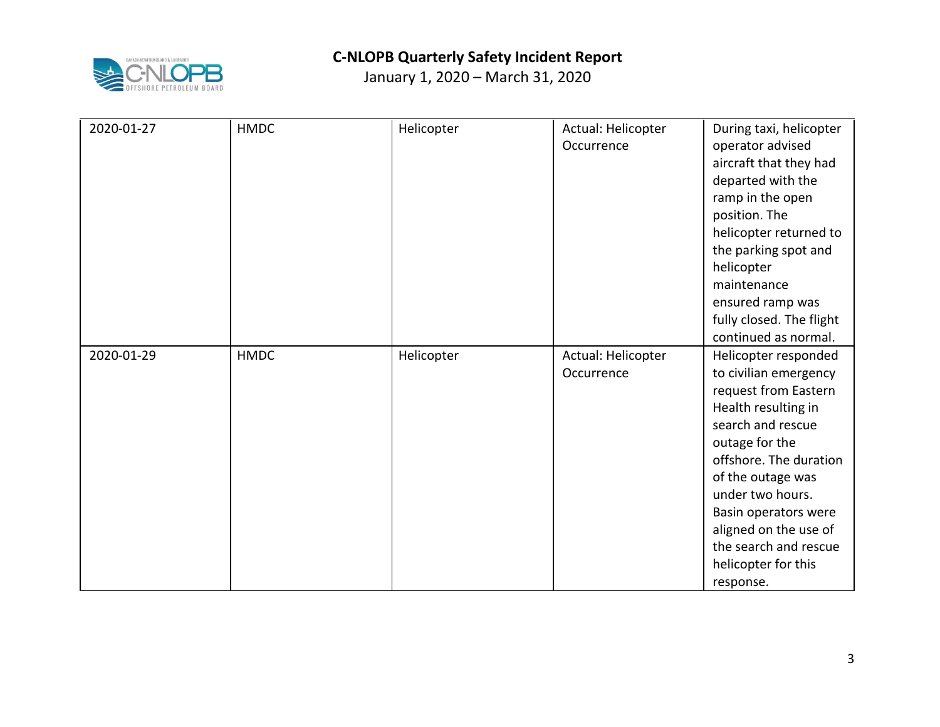

| 2020-01-27 | <b>HMDC</b> | Helicopter | Actual: Helicopter | During taxi, helicopter  |
|------------|-------------|------------|--------------------|--------------------------|
|            |             |            |                    |                          |
|            |             |            | Occurrence         | operator advised         |
|            |             |            |                    | aircraft that they had   |
|            |             |            |                    | departed with the        |
|            |             |            |                    | ramp in the open         |
|            |             |            |                    | position. The            |
|            |             |            |                    | helicopter returned to   |
|            |             |            |                    | the parking spot and     |
|            |             |            |                    | helicopter               |
|            |             |            |                    | maintenance              |
|            |             |            |                    | ensured ramp was         |
|            |             |            |                    | fully closed. The flight |
|            |             |            |                    | continued as normal.     |
| 2020-01-29 | <b>HMDC</b> | Helicopter | Actual: Helicopter | Helicopter responded     |
|            |             |            | Occurrence         | to civilian emergency    |
|            |             |            |                    | request from Eastern     |
|            |             |            |                    | Health resulting in      |
|            |             |            |                    | search and rescue        |
|            |             |            |                    | outage for the           |
|            |             |            |                    | offshore. The duration   |
|            |             |            |                    | of the outage was        |
|            |             |            |                    | under two hours.         |
|            |             |            |                    | Basin operators were     |
|            |             |            |                    | aligned on the use of    |
|            |             |            |                    | the search and rescue    |
|            |             |            |                    | helicopter for this      |
|            |             |            |                    | response.                |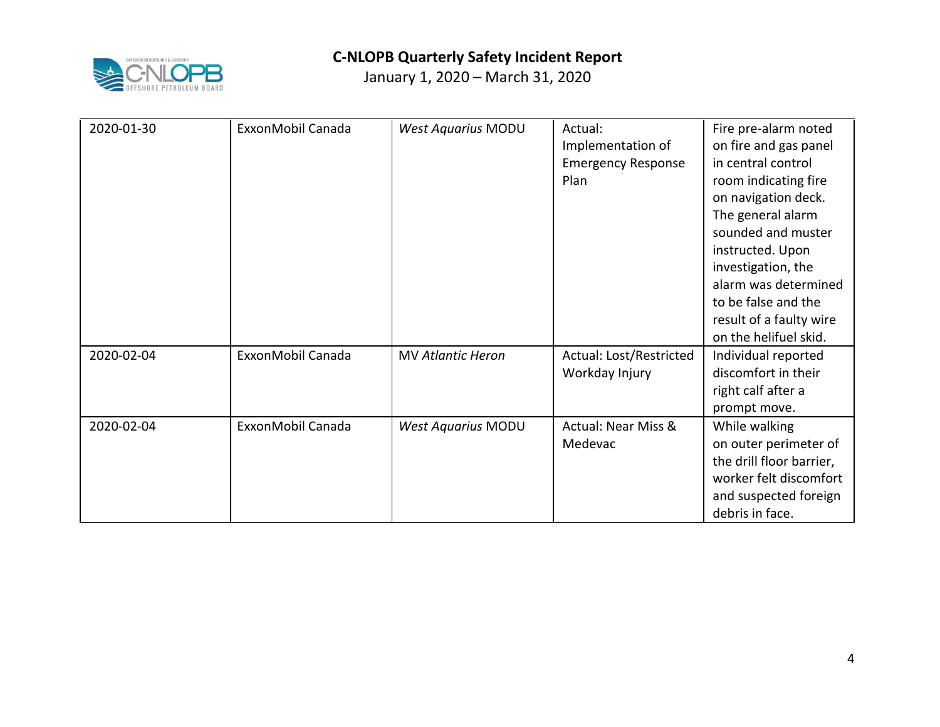

| 2020-01-30 | ExxonMobil Canada | <b>West Aquarius MODU</b> | Actual:<br>Implementation of<br><b>Emergency Response</b><br>Plan | Fire pre-alarm noted<br>on fire and gas panel<br>in central control<br>room indicating fire<br>on navigation deck.<br>The general alarm<br>sounded and muster<br>instructed. Upon<br>investigation, the<br>alarm was determined<br>to be false and the<br>result of a faulty wire<br>on the helifuel skid. |
|------------|-------------------|---------------------------|-------------------------------------------------------------------|------------------------------------------------------------------------------------------------------------------------------------------------------------------------------------------------------------------------------------------------------------------------------------------------------------|
| 2020-02-04 | ExxonMobil Canada | <b>MV Atlantic Heron</b>  | Actual: Lost/Restricted<br>Workday Injury                         | Individual reported<br>discomfort in their<br>right calf after a<br>prompt move.                                                                                                                                                                                                                           |
| 2020-02-04 | ExxonMobil Canada | <b>West Aquarius MODU</b> | <b>Actual: Near Miss &amp;</b><br>Medevac                         | While walking<br>on outer perimeter of<br>the drill floor barrier,<br>worker felt discomfort<br>and suspected foreign<br>debris in face.                                                                                                                                                                   |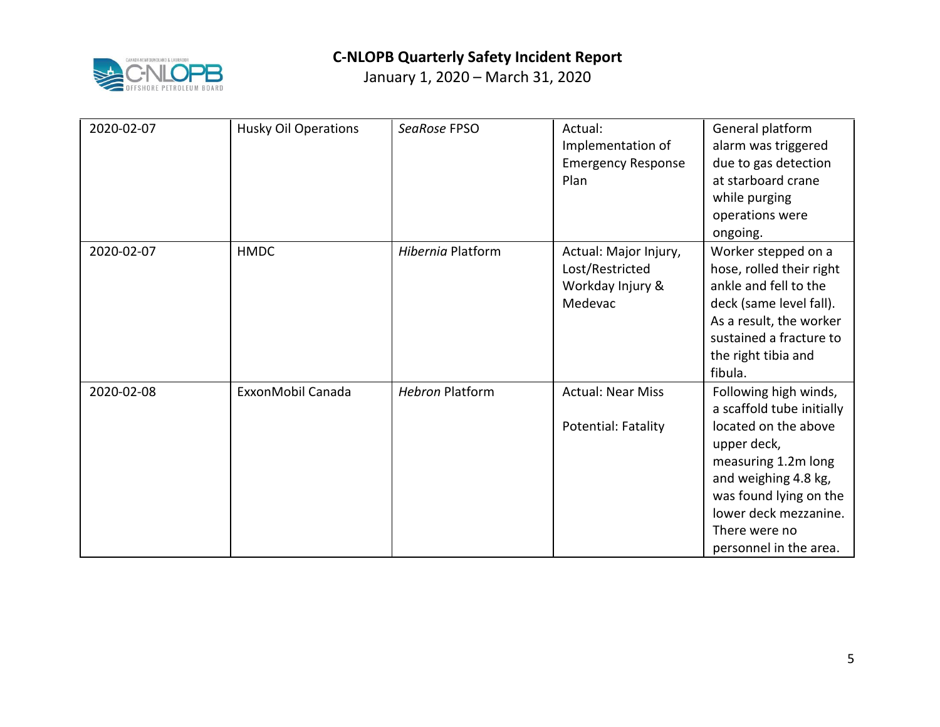

| 2020-02-07 | <b>Husky Oil Operations</b> | SeaRose FPSO           | Actual:<br>Implementation of<br><b>Emergency Response</b><br>Plan       | General platform<br>alarm was triggered<br>due to gas detection<br>at starboard crane<br>while purging<br>operations were<br>ongoing.                                                                                                  |
|------------|-----------------------------|------------------------|-------------------------------------------------------------------------|----------------------------------------------------------------------------------------------------------------------------------------------------------------------------------------------------------------------------------------|
| 2020-02-07 | <b>HMDC</b>                 | Hibernia Platform      | Actual: Major Injury,<br>Lost/Restricted<br>Workday Injury &<br>Medevac | Worker stepped on a<br>hose, rolled their right<br>ankle and fell to the<br>deck (same level fall).<br>As a result, the worker<br>sustained a fracture to<br>the right tibia and<br>fibula.                                            |
| 2020-02-08 | ExxonMobil Canada           | <b>Hebron Platform</b> | <b>Actual: Near Miss</b><br>Potential: Fatality                         | Following high winds,<br>a scaffold tube initially<br>located on the above<br>upper deck,<br>measuring 1.2m long<br>and weighing 4.8 kg,<br>was found lying on the<br>lower deck mezzanine.<br>There were no<br>personnel in the area. |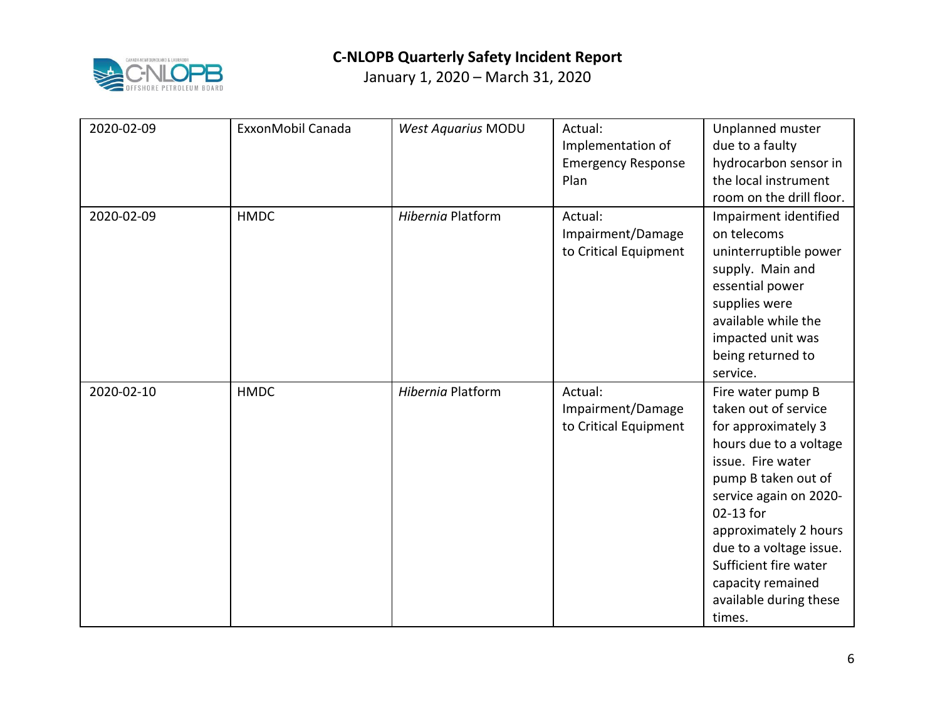

| 2020-02-09 | ExxonMobil Canada | <b>West Aquarius MODU</b> | Actual:<br>Implementation of<br><b>Emergency Response</b><br>Plan | Unplanned muster<br>due to a faulty<br>hydrocarbon sensor in<br>the local instrument<br>room on the drill floor.                                                                                                                                                                                                    |
|------------|-------------------|---------------------------|-------------------------------------------------------------------|---------------------------------------------------------------------------------------------------------------------------------------------------------------------------------------------------------------------------------------------------------------------------------------------------------------------|
| 2020-02-09 | <b>HMDC</b>       | Hibernia Platform         | Actual:<br>Impairment/Damage<br>to Critical Equipment             | Impairment identified<br>on telecoms<br>uninterruptible power<br>supply. Main and<br>essential power<br>supplies were<br>available while the<br>impacted unit was<br>being returned to<br>service.                                                                                                                  |
| 2020-02-10 | <b>HMDC</b>       | Hibernia Platform         | Actual:<br>Impairment/Damage<br>to Critical Equipment             | Fire water pump B<br>taken out of service<br>for approximately 3<br>hours due to a voltage<br>issue. Fire water<br>pump B taken out of<br>service again on 2020-<br>02-13 for<br>approximately 2 hours<br>due to a voltage issue.<br>Sufficient fire water<br>capacity remained<br>available during these<br>times. |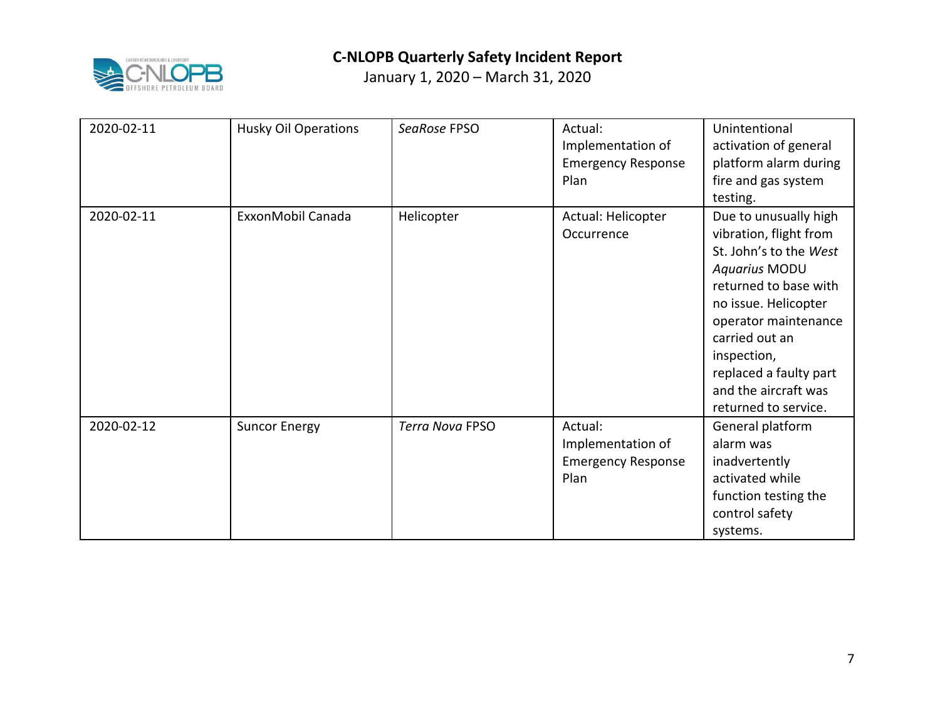

| 2020-02-11 | <b>Husky Oil Operations</b> | SeaRose FPSO    | Actual:<br>Implementation of<br><b>Emergency Response</b><br>Plan | Unintentional<br>activation of general<br>platform alarm during<br>fire and gas system<br>testing.                                                                                                                                                                                    |
|------------|-----------------------------|-----------------|-------------------------------------------------------------------|---------------------------------------------------------------------------------------------------------------------------------------------------------------------------------------------------------------------------------------------------------------------------------------|
| 2020-02-11 | ExxonMobil Canada           | Helicopter      | Actual: Helicopter<br>Occurrence                                  | Due to unusually high<br>vibration, flight from<br>St. John's to the West<br><b>Aquarius MODU</b><br>returned to base with<br>no issue. Helicopter<br>operator maintenance<br>carried out an<br>inspection,<br>replaced a faulty part<br>and the aircraft was<br>returned to service. |
| 2020-02-12 | <b>Suncor Energy</b>        | Terra Nova FPSO | Actual:<br>Implementation of<br><b>Emergency Response</b><br>Plan | General platform<br>alarm was<br>inadvertently<br>activated while<br>function testing the<br>control safety<br>systems.                                                                                                                                                               |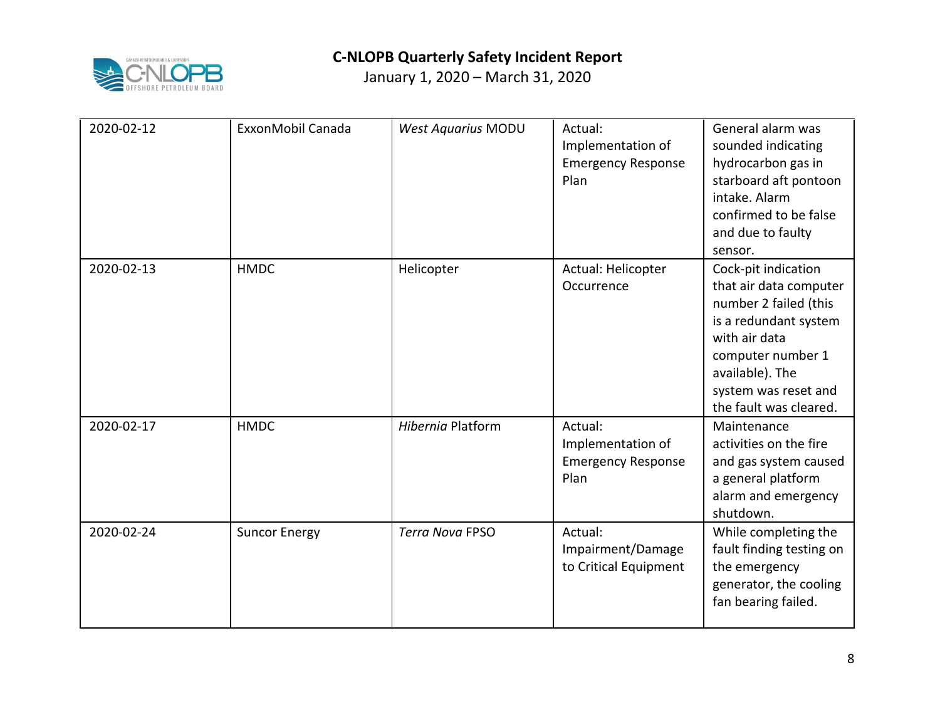

| 2020-02-12 | ExxonMobil Canada    | <b>West Aquarius MODU</b> | Actual:<br>Implementation of<br><b>Emergency Response</b><br>Plan | General alarm was<br>sounded indicating<br>hydrocarbon gas in<br>starboard aft pontoon<br>intake. Alarm<br>confirmed to be false<br>and due to faulty<br>sensor.                                           |
|------------|----------------------|---------------------------|-------------------------------------------------------------------|------------------------------------------------------------------------------------------------------------------------------------------------------------------------------------------------------------|
| 2020-02-13 | <b>HMDC</b>          | Helicopter                | Actual: Helicopter<br>Occurrence                                  | Cock-pit indication<br>that air data computer<br>number 2 failed (this<br>is a redundant system<br>with air data<br>computer number 1<br>available). The<br>system was reset and<br>the fault was cleared. |
| 2020-02-17 | <b>HMDC</b>          | Hibernia Platform         | Actual:<br>Implementation of<br><b>Emergency Response</b><br>Plan | Maintenance<br>activities on the fire<br>and gas system caused<br>a general platform<br>alarm and emergency<br>shutdown.                                                                                   |
| 2020-02-24 | <b>Suncor Energy</b> | <b>Terra Nova FPSO</b>    | Actual:<br>Impairment/Damage<br>to Critical Equipment             | While completing the<br>fault finding testing on<br>the emergency<br>generator, the cooling<br>fan bearing failed.                                                                                         |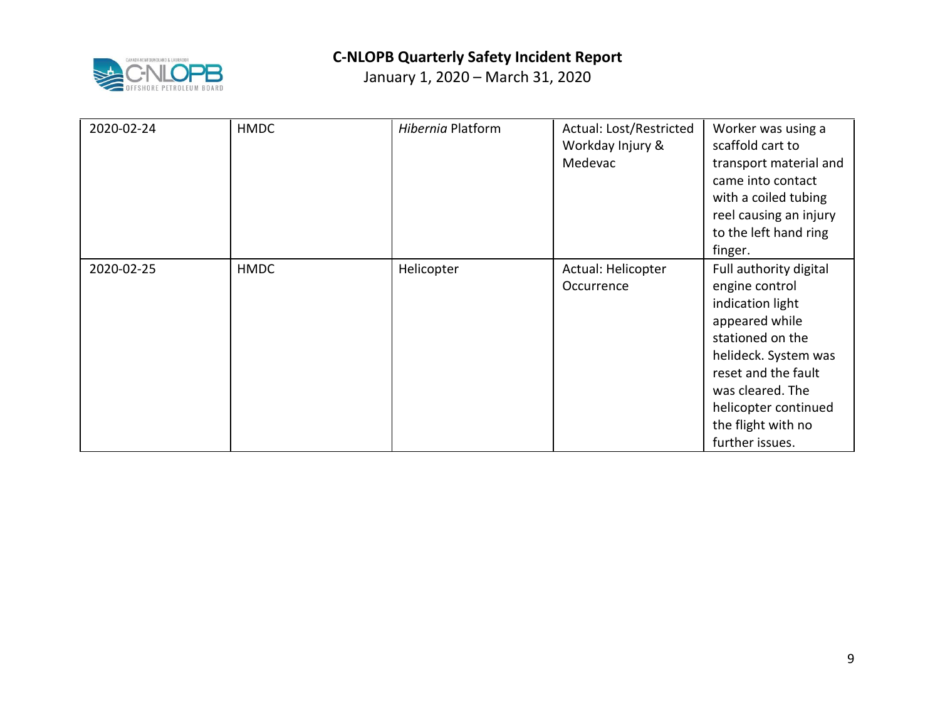

| 2020-02-24 | <b>HMDC</b> | Hibernia Platform | Actual: Lost/Restricted<br>Workday Injury &<br>Medevac | Worker was using a<br>scaffold cart to<br>transport material and<br>came into contact<br>with a coiled tubing<br>reel causing an injury<br>to the left hand ring<br>finger.                                                            |
|------------|-------------|-------------------|--------------------------------------------------------|----------------------------------------------------------------------------------------------------------------------------------------------------------------------------------------------------------------------------------------|
| 2020-02-25 | <b>HMDC</b> | Helicopter        | Actual: Helicopter<br>Occurrence                       | Full authority digital<br>engine control<br>indication light<br>appeared while<br>stationed on the<br>helideck. System was<br>reset and the fault<br>was cleared. The<br>helicopter continued<br>the flight with no<br>further issues. |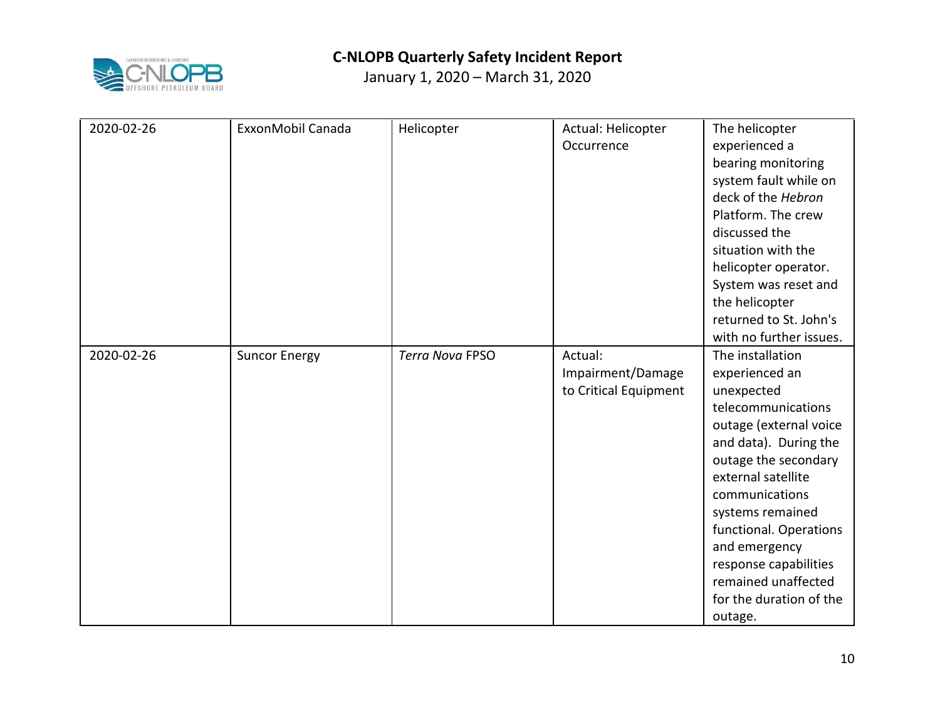

| 2020-02-26 | ExxonMobil Canada    | Helicopter             | Actual: Helicopter<br>Occurrence | The helicopter<br>experienced a<br>bearing monitoring<br>system fault while on<br>deck of the Hebron<br>Platform. The crew |
|------------|----------------------|------------------------|----------------------------------|----------------------------------------------------------------------------------------------------------------------------|
|            |                      |                        |                                  | discussed the<br>situation with the                                                                                        |
|            |                      |                        |                                  | helicopter operator.                                                                                                       |
|            |                      |                        |                                  | System was reset and                                                                                                       |
|            |                      |                        |                                  | the helicopter<br>returned to St. John's                                                                                   |
|            |                      |                        |                                  | with no further issues.                                                                                                    |
| 2020-02-26 | <b>Suncor Energy</b> | <b>Terra Nova FPSO</b> | Actual:                          | The installation                                                                                                           |
|            |                      |                        | Impairment/Damage                | experienced an                                                                                                             |
|            |                      |                        | to Critical Equipment            | unexpected                                                                                                                 |
|            |                      |                        |                                  | telecommunications                                                                                                         |
|            |                      |                        |                                  | outage (external voice                                                                                                     |
|            |                      |                        |                                  | and data). During the                                                                                                      |
|            |                      |                        |                                  | outage the secondary                                                                                                       |
|            |                      |                        |                                  | external satellite                                                                                                         |
|            |                      |                        |                                  | communications                                                                                                             |
|            |                      |                        |                                  | systems remained                                                                                                           |
|            |                      |                        |                                  | functional. Operations                                                                                                     |
|            |                      |                        |                                  | and emergency                                                                                                              |
|            |                      |                        |                                  | response capabilities                                                                                                      |
|            |                      |                        |                                  | remained unaffected                                                                                                        |
|            |                      |                        |                                  | for the duration of the                                                                                                    |
|            |                      |                        |                                  | outage.                                                                                                                    |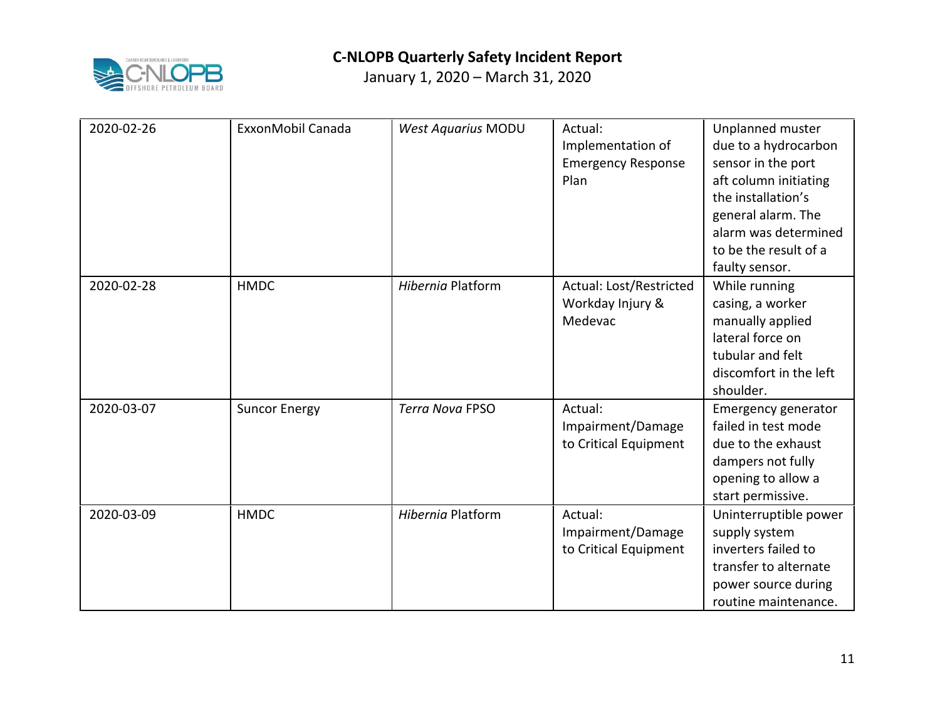

| 2020-02-26 | ExxonMobil Canada    | <b>West Aquarius MODU</b> | Actual:<br>Implementation of<br><b>Emergency Response</b><br>Plan | Unplanned muster<br>due to a hydrocarbon<br>sensor in the port<br>aft column initiating<br>the installation's<br>general alarm. The<br>alarm was determined<br>to be the result of a<br>faulty sensor. |
|------------|----------------------|---------------------------|-------------------------------------------------------------------|--------------------------------------------------------------------------------------------------------------------------------------------------------------------------------------------------------|
| 2020-02-28 | <b>HMDC</b>          | <b>Hibernia Platform</b>  | Actual: Lost/Restricted<br>Workday Injury &<br>Medevac            | While running<br>casing, a worker<br>manually applied<br>lateral force on<br>tubular and felt<br>discomfort in the left<br>shoulder.                                                                   |
| 2020-03-07 | <b>Suncor Energy</b> | <b>Terra Nova FPSO</b>    | Actual:<br>Impairment/Damage<br>to Critical Equipment             | Emergency generator<br>failed in test mode<br>due to the exhaust<br>dampers not fully<br>opening to allow a<br>start permissive.                                                                       |
| 2020-03-09 | <b>HMDC</b>          | Hibernia Platform         | Actual:<br>Impairment/Damage<br>to Critical Equipment             | Uninterruptible power<br>supply system<br>inverters failed to<br>transfer to alternate<br>power source during<br>routine maintenance.                                                                  |